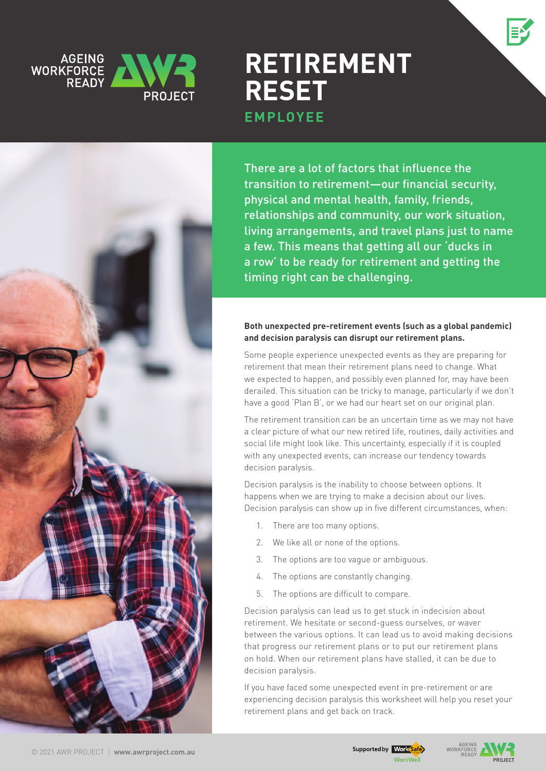



# **Retirement Reset EMPLOYEE**

There are a lot of factors that influence the transition to retirement—our financial security, physical and mental health, family, friends, relationships and community, our work situation, living arrangements, and travel plans just to name a few. This means that getting all our 'ducks in a row' to be ready for retirement and getting the timing right can be challenging.

#### **Both unexpected pre-retirement events (such as a global pandemic) and decision paralysis can disrupt our retirement plans.**

Some people experience unexpected events as they are preparing for retirement that mean their retirement plans need to change. What we expected to happen, and possibly even planned for, may have been derailed. This situation can be tricky to manage, particularly if we don't have a good 'Plan B', or we had our heart set on our original plan.

The retirement transition can be an uncertain time as we may not have a clear picture of what our new retired life, routines, daily activities and social life might look like. This uncertainty, especially if it is coupled with any unexpected events, can increase our tendency towards decision paralysis.

Decision paralysis is the inability to choose between options. It happens when we are trying to make a decision about our lives. Decision paralysis can show up in five different circumstances, when:

- 1. There are too many options.
- 2. We like all or none of the options.
- 3. The options are too vague or ambiguous.
- 4. The options are constantly changing.
- 5. The options are difficult to compare.

Decision paralysis can lead us to get stuck in indecision about retirement. We hesitate or second-guess ourselves, or waver between the various options. It can lead us to avoid making decisions that progress our retirement plans or to put our retirement plans on hold. When our retirement plans have stalled, it can be due to decision paralysis.

If you have faced some unexpected event in pre-retirement or are experiencing decision paralysis this worksheet will help you reset your retirement plans and get back on track.

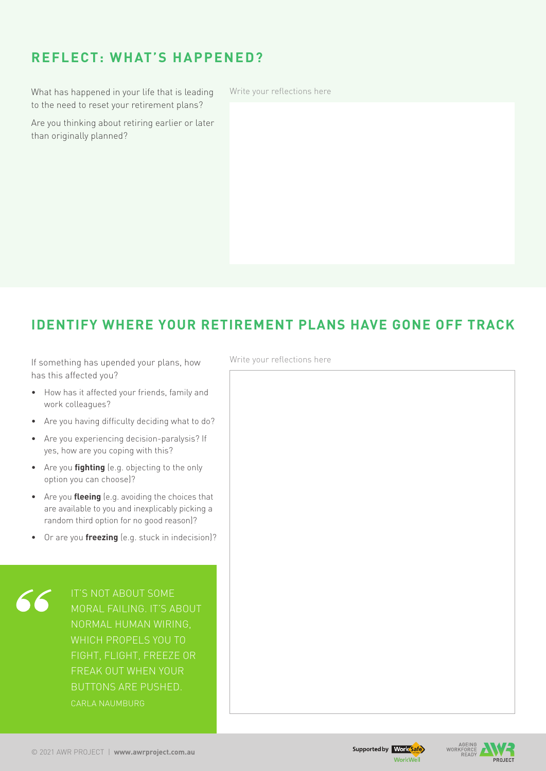### **REFLECT: What's happened?**

What has happened in your life that is leading to the need to reset your retirement plans?

Are you thinking about retiring earlier or later than originally planned?

Write your reflections here

#### **Identify where your retirement plans have gone off track**

If something has upended your plans, how has this affected you?

- • How has it affected your friends, family and work colleagues?
- Are you having difficulty deciding what to do?
- • Are you experiencing decision-paralysis? If yes, how are you coping with this?
- • Are you **fighting** (e.g. objecting to the only option you can choose)?
- • Are you **fleeing** (e.g. avoiding the choices that are available to you and inexplicably picking a random third option for no good reason)?
- • Or are you **freezing** (e.g. stuck in indecision)?

moral failing. It's about which propels you to freak out when your buttons are pushed. Carla Naumburg

Write your reflections here



AGEING<br>WORKFORCE

**DROIECT**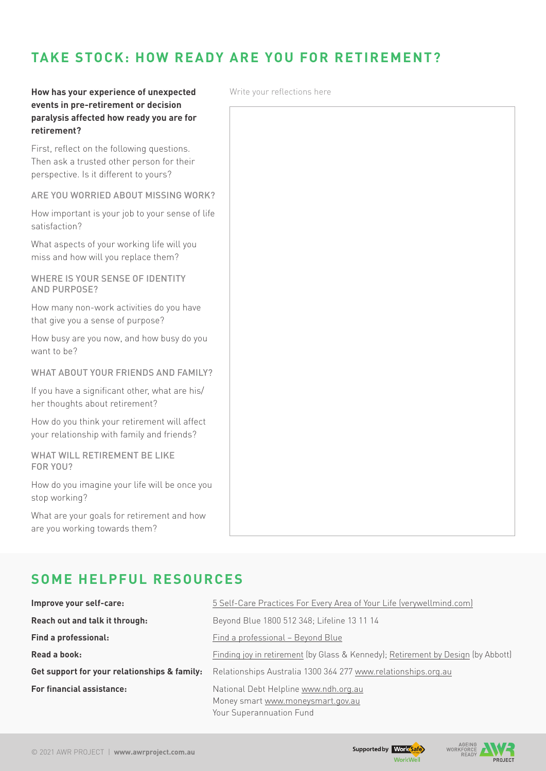#### **Take stock: How ready are you for retirement?**

#### **How has your experience of unexpected events in pre-retirement or decision paralysis affected how ready you are for retirement?**

First, reflect on the following questions. Then ask a trusted other person for their perspective. Is it different to yours?

Are you worried about missing work?

How important is your job to your sense of life satisfaction?

What aspects of your working life will you miss and how will you replace them?

WHERE IS YOUR SENSE OF IDENTITY and purpose?

How many non-work activities do you have that give you a sense of purpose?

How busy are you now, and how busy do you want to be?

WHAT ABOUT YOUR FRIENDS AND FAMILY?

If you have a significant other, what are his/ her thoughts about retirement?

How do you think your retirement will affect your relationship with family and friends?

WHAT WILL RETIREMENT BE LIKE for you?

How do you imagine your life will be once you stop working?

What are your goals for retirement and how are you working towards them?

### **Some helpful resources**

| Improve your self-care:                      | 5 Self-Care Practices For Every Area of Your Life (verywellmind.com)                                   |  |
|----------------------------------------------|--------------------------------------------------------------------------------------------------------|--|
| Reach out and talk it through:               | Beyond Blue 1800 512 348; Lifeline 13 11 14                                                            |  |
| <b>Find a professional:</b>                  | Find a professional - Beyond Blue                                                                      |  |
| Read a book:                                 | Finding joy in retirement (by Glass & Kennedy); Retirement by Design (by Abbott)                       |  |
| Get support for your relationships & family: | Relationships Australia 1300 364 277 www.relationships.org.au                                          |  |
| <b>For financial assistance:</b>             | National Debt Helpline www.ndh.org.au<br>Money smart www.moneysmart.gov.au<br>Your Superannuation Fund |  |

Write your reflections here